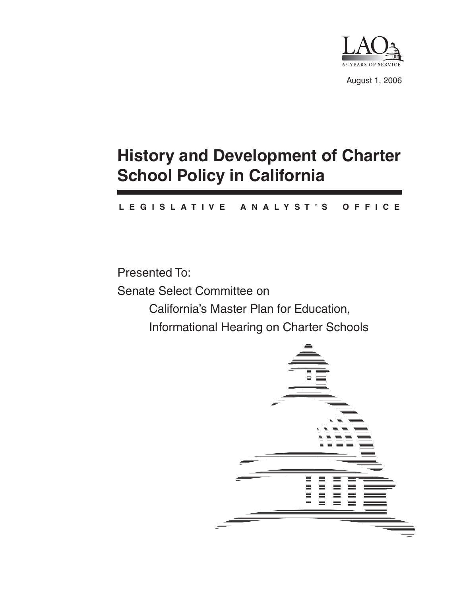

August 1, 2006

# **History and Development of Charter School Policy in California**

### **L E G I S L A T I V E A N A L Y S T ' S O F F I C E**

Presented To: Senate Select Committee on California's Master Plan for Education, Informational Hearing on Charter Schools

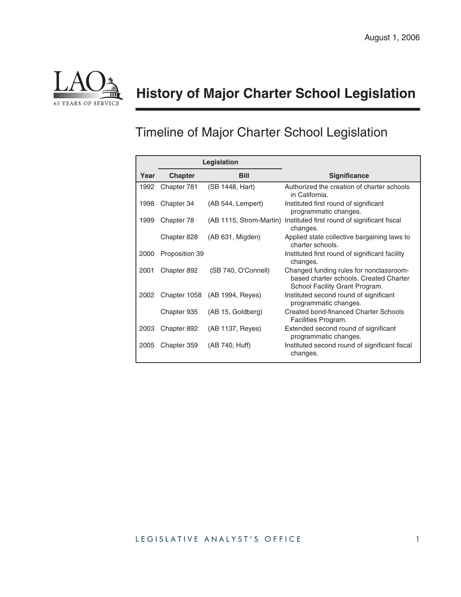

## **History of Major Charter School Legislation**

## Timeline of Major Charter School Legislation

|      | Legislation    |                               |                                                                                                                     |
|------|----------------|-------------------------------|---------------------------------------------------------------------------------------------------------------------|
| Year | <b>Chapter</b> | <b>Bill</b>                   | <b>Significance</b>                                                                                                 |
| 1992 | Chapter 781    | (SB 1448, Hart)               | Authorized the creation of charter schools<br>in California.                                                        |
| 1998 | Chapter 34     | (AB 544, Lempert)             | Instituted first round of significant<br>programmatic changes.                                                      |
| 1999 | Chapter 78     | (AB 1115, Strom-Martin)       | Instituted first round of significant fiscal<br>changes.                                                            |
|      | Chapter 828    | (AB 631, Migden)              | Applied state collective bargaining laws to<br>charter schools.                                                     |
| 2000 | Proposition 39 |                               | Instituted first round of significant facility<br>changes.                                                          |
| 2001 | Chapter 892    | (SB 740, O'Connell)           | Changed funding rules for nonclassroom-<br>based charter schools. Created Charter<br>School Facility Grant Program. |
| 2002 |                | Chapter 1058 (AB 1994, Reyes) | Instituted second round of significant<br>programmatic changes.                                                     |
|      | Chapter 935    | (AB 15, Goldberg)             | Created bond-financed Charter Schools<br>Facilities Program.                                                        |
| 2003 | Chapter 892    | (AB 1137, Reyes)              | Extended second round of significant<br>programmatic changes.                                                       |
| 2005 | Chapter 359    | (AB 740, Huff)                | Instituted second round of significant fiscal<br>changes.                                                           |

#### LEGISLATIVE ANALYST'S OFFICE 1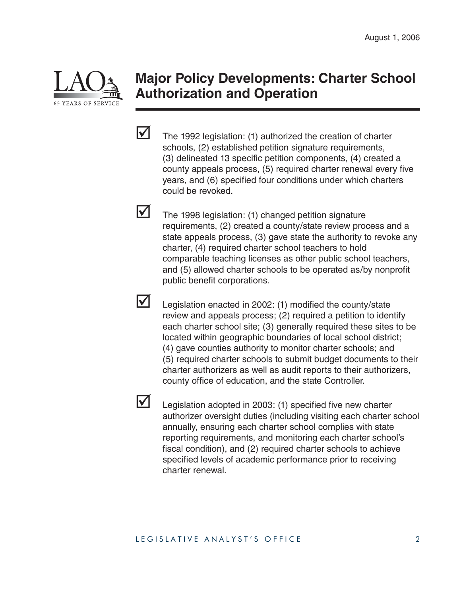

### **Major Policy Developments: Charter School Authorization and Operation**



 $\overline{\mathsf{M}}$ 

 $\boldsymbol{\mathcal{M}}$ 

lVl

The 1992 legislation: (1) authorized the creation of charter schools, (2) established petition signature requirements, (3) delineated 13 specific petition components, (4) created a county appeals process, (5) required charter renewal every five years, and (6) specified four conditions under which charters could be revoked.

The 1998 legislation: (1) changed petition signature requirements, (2) created a county/state review process and a state appeals process, (3) gave state the authority to revoke any charter, (4) required charter school teachers to hold comparable teaching licenses as other public school teachers, and (5) allowed charter schools to be operated as/by nonprofit public benefit corporations.

- Legislation enacted in 2002: (1) modified the county/state review and appeals process; (2) required a petition to identify each charter school site; (3) generally required these sites to be located within geographic boundaries of local school district; (4) gave counties authority to monitor charter schools; and (5) required charter schools to submit budget documents to their charter authorizers as well as audit reports to their authorizers, county office of education, and the state Controller.
- Legislation adopted in 2003: (1) specified five new charter authorizer oversight duties (including visiting each charter school annually, ensuring each charter school complies with state reporting requirements, and monitoring each charter school's fiscal condition), and (2) required charter schools to achieve specified levels of academic performance prior to receiving charter renewal.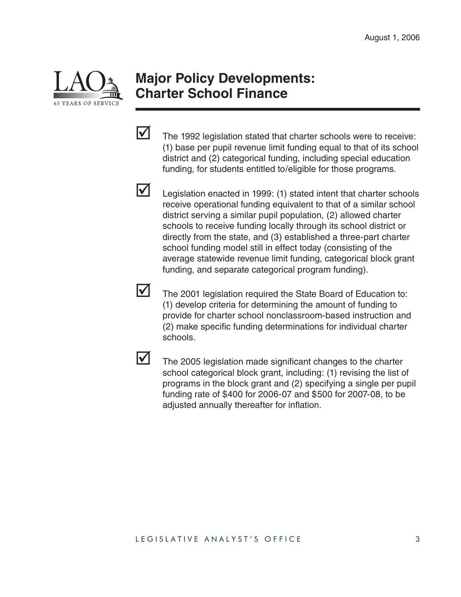

### **Major Policy Developments: Charter School Finance**

The 1992 legislation stated that charter schools were to receive: (1) base per pupil revenue limit funding equal to that of its school district and (2) categorical funding, including special education funding, for students entitled to/eligible for those programs.



 $\overline{\mathsf{M}}$ 

Legislation enacted in 1999: (1) stated intent that charter schools receive operational funding equivalent to that of a similar school district serving a similar pupil population, (2) allowed charter schools to receive funding locally through its school district or directly from the state, and (3) established a three-part charter school funding model still in effect today (consisting of the average statewide revenue limit funding, categorical block grant funding, and separate categorical program funding).



The 2001 legislation required the State Board of Education to: (1) develop criteria for determining the amount of funding to provide for charter school nonclassroom-based instruction and (2) make specific funding determinations for individual charter schools.



The 2005 legislation made significant changes to the charter school categorical block grant, including: (1) revising the list of programs in the block grant and (2) specifying a single per pupil funding rate of \$400 for 2006-07 and \$500 for 2007-08, to be adjusted annually thereafter for inflation.